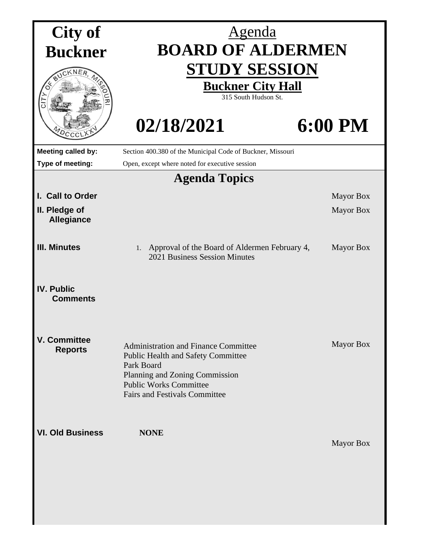| City of                               | <u>Agenda</u>                                                                                                                                                                                                     |                  |  |  |
|---------------------------------------|-------------------------------------------------------------------------------------------------------------------------------------------------------------------------------------------------------------------|------------------|--|--|
| <b>Buckner</b>                        | <b>BOARD OF ALDERMEN</b>                                                                                                                                                                                          |                  |  |  |
|                                       | <b>STUDY SESSION</b><br><b>Buckner City Hall</b><br>315 South Hudson St.                                                                                                                                          |                  |  |  |
|                                       | 02/18/2021                                                                                                                                                                                                        | 6:00 PM          |  |  |
| <b>Meeting called by:</b>             | Section 400.380 of the Municipal Code of Buckner, Missouri                                                                                                                                                        |                  |  |  |
| Type of meeting:                      | Open, except where noted for executive session                                                                                                                                                                    |                  |  |  |
| <b>Agenda Topics</b>                  |                                                                                                                                                                                                                   |                  |  |  |
| I. Call to Order                      |                                                                                                                                                                                                                   | <b>Mayor Box</b> |  |  |
| II. Pledge of<br><b>Allegiance</b>    |                                                                                                                                                                                                                   | <b>Mayor Box</b> |  |  |
| <b>III. Minutes</b>                   | Approval of the Board of Aldermen February 4,<br>1.<br>2021 Business Session Minutes                                                                                                                              | <b>Mayor Box</b> |  |  |
| <b>IV. Public</b><br><b>Comments</b>  |                                                                                                                                                                                                                   |                  |  |  |
| <b>V. Committee</b><br><b>Reports</b> | <b>Administration and Finance Committee</b><br><b>Public Health and Safety Committee</b><br>Park Board<br>Planning and Zoning Commission<br><b>Public Works Committee</b><br><b>Fairs and Festivals Committee</b> | <b>Mayor Box</b> |  |  |
| <b>VI. Old Business</b>               | <b>NONE</b>                                                                                                                                                                                                       | <b>Mayor Box</b> |  |  |